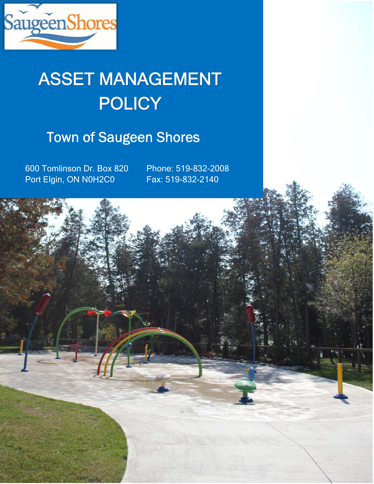

# **POLICY** ASSET MANAGEMENT

# Town of Saugeen Shores

600 Tomlinson Dr. Box 820 Port Elgin, ON N0H2C0

Phone: 519-832-2008 Fax: 519-832-2140

usa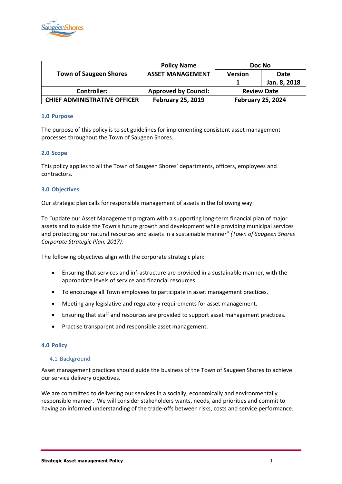

|                                     | <b>Policy Name</b>          | Doc No                   |              |
|-------------------------------------|-----------------------------|--------------------------|--------------|
| <b>Town of Saugeen Shores</b>       | <b>ASSET MANAGEMENT</b>     | <b>Version</b>           | Date         |
|                                     |                             |                          | Jan. 8, 2018 |
| <b>Controller:</b>                  | <b>Approved by Council:</b> | <b>Review Date</b>       |              |
| <b>CHIEF ADMINISTRATIVE OFFICER</b> | <b>February 25, 2019</b>    | <b>February 25, 2024</b> |              |

# **1.0 Purpose**

The purpose of this policy is to set guidelines for implementing consistent asset management processes throughout the Town of Saugeen Shores.

# **2.0 Scope**

This policy applies to all the Town of Saugeen Shores' departments, officers, employees and contractors.

#### **3.0 Objectives**

Our strategic plan calls for responsible management of assets in the following way:

To "update our Asset Management program with a supporting long-term financial plan of major assets and to guide the Town's future growth and development while providing municipal services and protecting our natural resources and assets in a sustainable manner" *(Town of Saugeen Shores Corporate Strategic Plan, 2017).*

The following objectives align with the corporate strategic plan:

- Ensuring that services and infrastructure are provided in a sustainable manner, with the appropriate levels of service and financial resources.
- To encourage all Town employees to participate in asset management practices.
- Meeting any legislative and regulatory requirements for asset management.
- Ensuring that staff and resources are provided to support asset management practices.
- Practise transparent and responsible asset management.

#### **4.0 Policy**

#### 4.1 Background

Asset management practices should guide the business of the Town of Saugeen Shores to achieve our service delivery objectives.

We are committed to delivering our services in a socially, economically and environmentally responsible manner. We will consider stakeholders wants, needs, and priorities and commit to having an informed understanding of the trade-offs between risks, costs and service performance.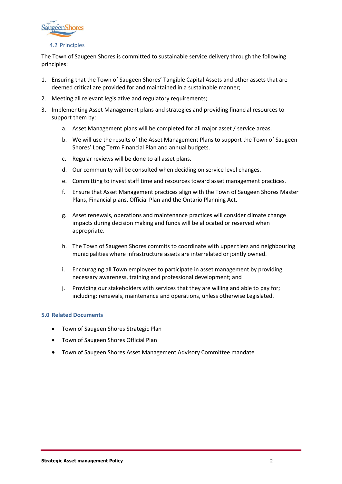

4.2 Principles

The Town of Saugeen Shores is committed to sustainable service delivery through the following principles:

- 1. Ensuring that the Town of Saugeen Shores' Tangible Capital Assets and other assets that are deemed critical are provided for and maintained in a sustainable manner;
- 2. Meeting all relevant legislative and regulatory requirements:
- 3. Implementing Asset Management plans and strategies and providing financial resources to support them by:
	- a. Asset Management plans will be completed for all major asset / service areas.
	- b. We will use the results of the Asset Management Plans to support the Town of Saugeen Shores' Long Term Financial Plan and annual budgets.
	- c. Regular reviews will be done to all asset plans.
	- d. Our community will be consulted when deciding on service level changes.
	- e. Committing to invest staff time and resources toward asset management practices.
	- f. Ensure that Asset Management practices align with the Town of Saugeen Shores Master Plans, Financial plans, Official Plan and the Ontario Planning Act.
	- g. Asset renewals, operations and maintenance practices will consider climate change impacts during decision making and funds will be allocated or reserved when appropriate.
	- h. The Town of Saugeen Shores commits to coordinate with upper tiers and neighbouring municipalities where infrastructure assets are interrelated or jointly owned.
	- i. Encouraging all Town employees to participate in asset management by providing necessary awareness, training and professional development; and
	- j. Providing our stakeholders with services that they are willing and able to pay for; including: renewals, maintenance and operations, unless otherwise Legislated.

# **5.0 Related Documents**

- Town of Saugeen Shores Strategic Plan
- Town of Saugeen Shores Official Plan
- Town of Saugeen Shores Asset Management Advisory Committee mandate